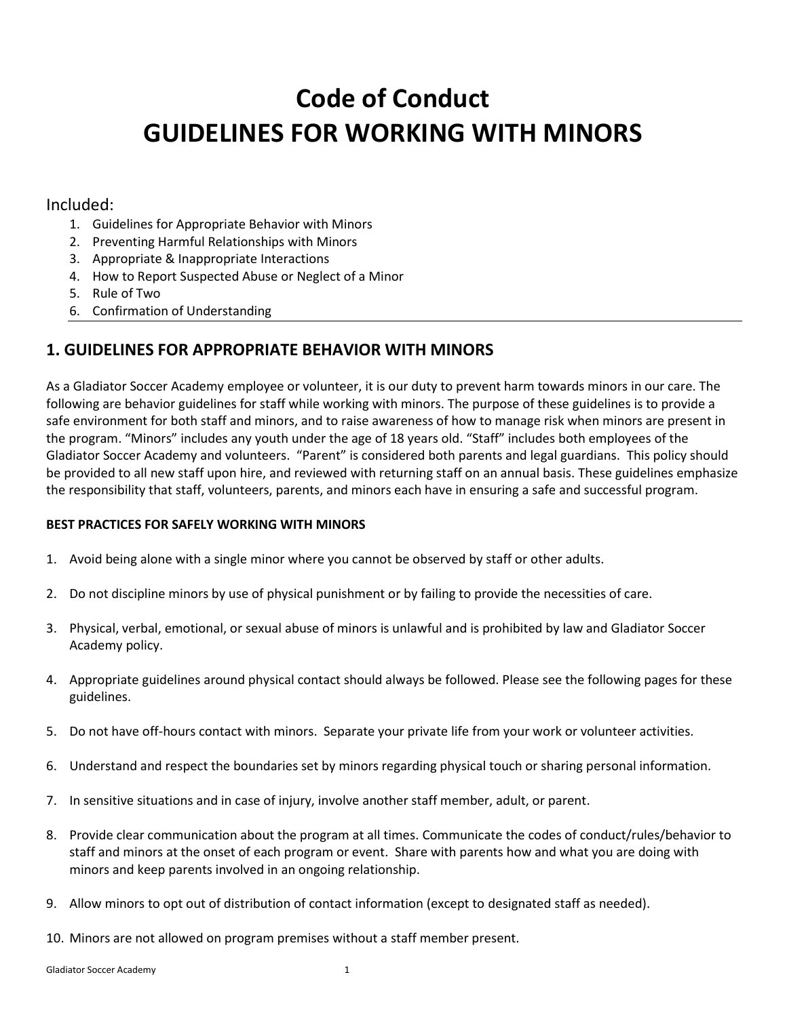# **Code of Conduct GUIDELINES FOR WORKING WITH MINORS**

#### Included:

- 1. Guidelines for Appropriate Behavior with Minors
- 2. Preventing Harmful Relationships with Minors
- 3. Appropriate & Inappropriate Interactions
- 4. How to Report Suspected Abuse or Neglect of a Minor
- 5. Rule of Two
- 6. Confirmation of Understanding

## **1. GUIDELINES FOR APPROPRIATE BEHAVIOR WITH MINORS**

As a Gladiator Soccer Academy employee or volunteer, it is our duty to prevent harm towards minors in our care. The following are behavior guidelines for staff while working with minors. The purpose of these guidelines is to provide a safe environment for both staff and minors, and to raise awareness of how to manage risk when minors are present in the program. "Minors" includes any youth under the age of 18 years old. "Staff" includes both employees of the Gladiator Soccer Academy and volunteers. "Parent" is considered both parents and legal guardians. This policy should be provided to all new staff upon hire, and reviewed with returning staff on an annual basis. These guidelines emphasize the responsibility that staff, volunteers, parents, and minors each have in ensuring a safe and successful program.

#### **BEST PRACTICES FOR SAFELY WORKING WITH MINORS**

- 1. Avoid being alone with a single minor where you cannot be observed by staff or other adults.
- 2. Do not discipline minors by use of physical punishment or by failing to provide the necessities of care.
- 3. Physical, verbal, emotional, or sexual abuse of minors is unlawful and is prohibited by law and Gladiator Soccer Academy policy.
- 4. Appropriate guidelines around physical contact should always be followed. Please see the following pages for these guidelines.
- 5. Do not have off-hours contact with minors. Separate your private life from your work or volunteer activities.
- 6. Understand and respect the boundaries set by minors regarding physical touch or sharing personal information.
- 7. In sensitive situations and in case of injury, involve another staff member, adult, or parent.
- 8. Provide clear communication about the program at all times. Communicate the codes of conduct/rules/behavior to staff and minors at the onset of each program or event. Share with parents how and what you are doing with minors and keep parents involved in an ongoing relationship.
- 9. Allow minors to opt out of distribution of contact information (except to designated staff as needed).
- 10. Minors are not allowed on program premises without a staff member present.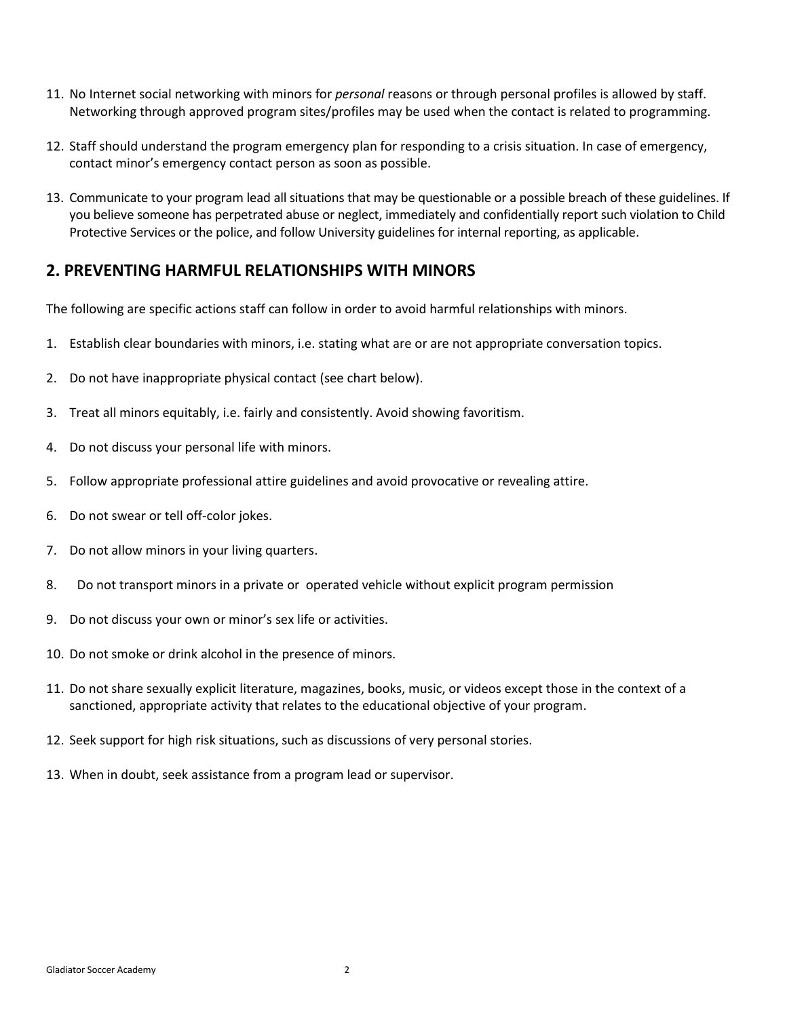- 11. No Internet social networking with minors for *personal* reasons or through personal profiles is allowed by staff. Networking through approved program sites/profiles may be used when the contact is related to programming.
- 12. Staff should understand the program emergency plan for responding to a crisis situation. In case of emergency, contact minor's emergency contact person as soon as possible.
- 13. Communicate to your program lead all situations that may be questionable or a possible breach of these guidelines. If you believe someone has perpetrated abuse or neglect, immediately and confidentially report such violation to Child Protective Services or the police, and follow University guidelines for internal reporting, as applicable.

### **2. PREVENTING HARMFUL RELATIONSHIPS WITH MINORS**

The following are specific actions staff can follow in order to avoid harmful relationships with minors.

- 1. Establish clear boundaries with minors, i.e. stating what are or are not appropriate conversation topics.
- 2. Do not have inappropriate physical contact (see chart below).
- 3. Treat all minors equitably, i.e. fairly and consistently. Avoid showing favoritism.
- 4. Do not discuss your personal life with minors.
- 5. Follow appropriate professional attire guidelines and avoid provocative or revealing attire.
- 6. Do not swear or tell off-color jokes.
- 7. Do not allow minors in your living quarters.
- 8. Do not transport minors in a private or operated vehicle without explicit program permission
- 9. Do not discuss your own or minor's sex life or activities.
- 10. Do not smoke or drink alcohol in the presence of minors.
- 11. Do not share sexually explicit literature, magazines, books, music, or videos except those in the context of a sanctioned, appropriate activity that relates to the educational objective of your program.
- 12. Seek support for high risk situations, such as discussions of very personal stories.
- 13. When in doubt, seek assistance from a program lead or supervisor.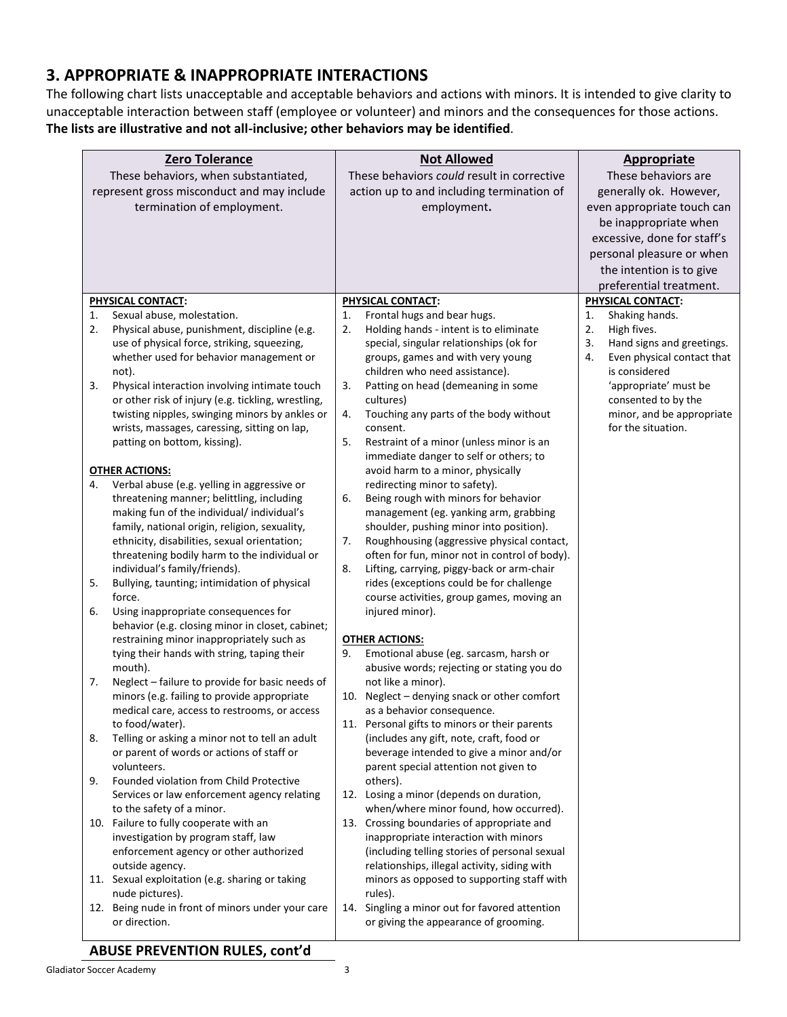## **3. APPROPRIATE & INAPPROPRIATE INTERACTIONS**

The following chart lists unacceptable and acceptable behaviors and actions with minors. It is intended to give clarity to unacceptable interaction between staff (employee or volunteer) and minors and the consequences for those actions. **The lists are illustrative and not all-inclusive; other behaviors may be identified**.

| Zero Tolerance<br>These behaviors, when substantiated,<br>represent gross misconduct and may include<br>termination of employment. |                                                                                                                                                                                                                                                                                                                                                                                                                                                     | <b>Not Allowed</b><br>These behaviors could result in corrective<br>action up to and including termination of<br>employment. |                                                                                                                                                                                                                                                                                                                                                                                                                                                                                                   | <b>Appropriate</b><br>These behaviors are<br>generally ok. However,<br>even appropriate touch can<br>be inappropriate when<br>excessive, done for staff's<br>personal pleasure or when<br>the intention is to give<br>preferential treatment. |                                                                                                                                                                                                              |
|------------------------------------------------------------------------------------------------------------------------------------|-----------------------------------------------------------------------------------------------------------------------------------------------------------------------------------------------------------------------------------------------------------------------------------------------------------------------------------------------------------------------------------------------------------------------------------------------------|------------------------------------------------------------------------------------------------------------------------------|---------------------------------------------------------------------------------------------------------------------------------------------------------------------------------------------------------------------------------------------------------------------------------------------------------------------------------------------------------------------------------------------------------------------------------------------------------------------------------------------------|-----------------------------------------------------------------------------------------------------------------------------------------------------------------------------------------------------------------------------------------------|--------------------------------------------------------------------------------------------------------------------------------------------------------------------------------------------------------------|
|                                                                                                                                    | PHYSICAL CONTACT:                                                                                                                                                                                                                                                                                                                                                                                                                                   |                                                                                                                              | PHYSICAL CONTACT:                                                                                                                                                                                                                                                                                                                                                                                                                                                                                 |                                                                                                                                                                                                                                               | <b>PHYSICAL CONTACT:</b>                                                                                                                                                                                     |
| 1.<br>2.<br>3.                                                                                                                     | Sexual abuse, molestation.<br>Physical abuse, punishment, discipline (e.g.<br>use of physical force, striking, squeezing,<br>whether used for behavior management or<br>not).<br>Physical interaction involving intimate touch<br>or other risk of injury (e.g. tickling, wrestling,<br>twisting nipples, swinging minors by ankles or<br>wrists, massages, caressing, sitting on lap,<br>patting on bottom, kissing).                              | 1.<br>2.<br>3.<br>4.<br>5.                                                                                                   | Frontal hugs and bear hugs.<br>Holding hands - intent is to eliminate<br>special, singular relationships (ok for<br>groups, games and with very young<br>children who need assistance).<br>Patting on head (demeaning in some<br>cultures)<br>Touching any parts of the body without<br>consent.<br>Restraint of a minor (unless minor is an                                                                                                                                                      | 1.<br>2.<br>3.<br>4.                                                                                                                                                                                                                          | Shaking hands.<br>High fives.<br>Hand signs and greetings.<br>Even physical contact that<br>is considered<br>'appropriate' must be<br>consented to by the<br>minor, and be appropriate<br>for the situation. |
| 4.<br>5.<br>6.                                                                                                                     | <b>OTHER ACTIONS:</b><br>Verbal abuse (e.g. yelling in aggressive or<br>threatening manner; belittling, including<br>making fun of the individual/ individual's<br>family, national origin, religion, sexuality,<br>ethnicity, disabilities, sexual orientation;<br>threatening bodily harm to the individual or<br>individual's family/friends).<br>Bullying, taunting; intimidation of physical<br>force.<br>Using inappropriate consequences for | 6.<br>7.<br>8.                                                                                                               | immediate danger to self or others; to<br>avoid harm to a minor, physically<br>redirecting minor to safety).<br>Being rough with minors for behavior<br>management (eg. yanking arm, grabbing<br>shoulder, pushing minor into position).<br>Roughhousing (aggressive physical contact,<br>often for fun, minor not in control of body).<br>Lifting, carrying, piggy-back or arm-chair<br>rides (exceptions could be for challenge<br>course activities, group games, moving an<br>injured minor). |                                                                                                                                                                                                                                               |                                                                                                                                                                                                              |
|                                                                                                                                    | behavior (e.g. closing minor in closet, cabinet;<br>restraining minor inappropriately such as<br>tying their hands with string, taping their<br>mouth).                                                                                                                                                                                                                                                                                             | 9.                                                                                                                           | <b>OTHER ACTIONS:</b><br>Emotional abuse (eg. sarcasm, harsh or<br>abusive words; rejecting or stating you do                                                                                                                                                                                                                                                                                                                                                                                     |                                                                                                                                                                                                                                               |                                                                                                                                                                                                              |
| 7.                                                                                                                                 | Neglect - failure to provide for basic needs of<br>minors (e.g. failing to provide appropriate<br>medical care, access to restrooms, or access<br>to food/water).                                                                                                                                                                                                                                                                                   |                                                                                                                              | not like a minor).<br>10. Neglect - denying snack or other comfort<br>as a behavior consequence.<br>11. Personal gifts to minors or their parents                                                                                                                                                                                                                                                                                                                                                 |                                                                                                                                                                                                                                               |                                                                                                                                                                                                              |
| 8.                                                                                                                                 | Telling or asking a minor not to tell an adult<br>or parent of words or actions of staff or<br>volunteers.                                                                                                                                                                                                                                                                                                                                          |                                                                                                                              | (includes any gift, note, craft, food or<br>beverage intended to give a minor and/or<br>parent special attention not given to                                                                                                                                                                                                                                                                                                                                                                     |                                                                                                                                                                                                                                               |                                                                                                                                                                                                              |
| 9.                                                                                                                                 | Founded violation from Child Protective<br>Services or law enforcement agency relating<br>to the safety of a minor.                                                                                                                                                                                                                                                                                                                                 |                                                                                                                              | others).<br>12. Losing a minor (depends on duration,<br>when/where minor found, how occurred).                                                                                                                                                                                                                                                                                                                                                                                                    |                                                                                                                                                                                                                                               |                                                                                                                                                                                                              |
|                                                                                                                                    | 10. Failure to fully cooperate with an<br>investigation by program staff, law<br>enforcement agency or other authorized<br>outside agency.<br>11. Sexual exploitation (e.g. sharing or taking<br>nude pictures).<br>12. Being nude in front of minors under your care                                                                                                                                                                               |                                                                                                                              | 13. Crossing boundaries of appropriate and<br>inappropriate interaction with minors<br>(including telling stories of personal sexual<br>relationships, illegal activity, siding with<br>minors as opposed to supporting staff with<br>rules).<br>14. Singling a minor out for favored attention                                                                                                                                                                                                   |                                                                                                                                                                                                                                               |                                                                                                                                                                                                              |
|                                                                                                                                    | or direction.                                                                                                                                                                                                                                                                                                                                                                                                                                       |                                                                                                                              | or giving the appearance of grooming.                                                                                                                                                                                                                                                                                                                                                                                                                                                             |                                                                                                                                                                                                                                               |                                                                                                                                                                                                              |

# **ABUSE PREVENTION RULES, cont'd**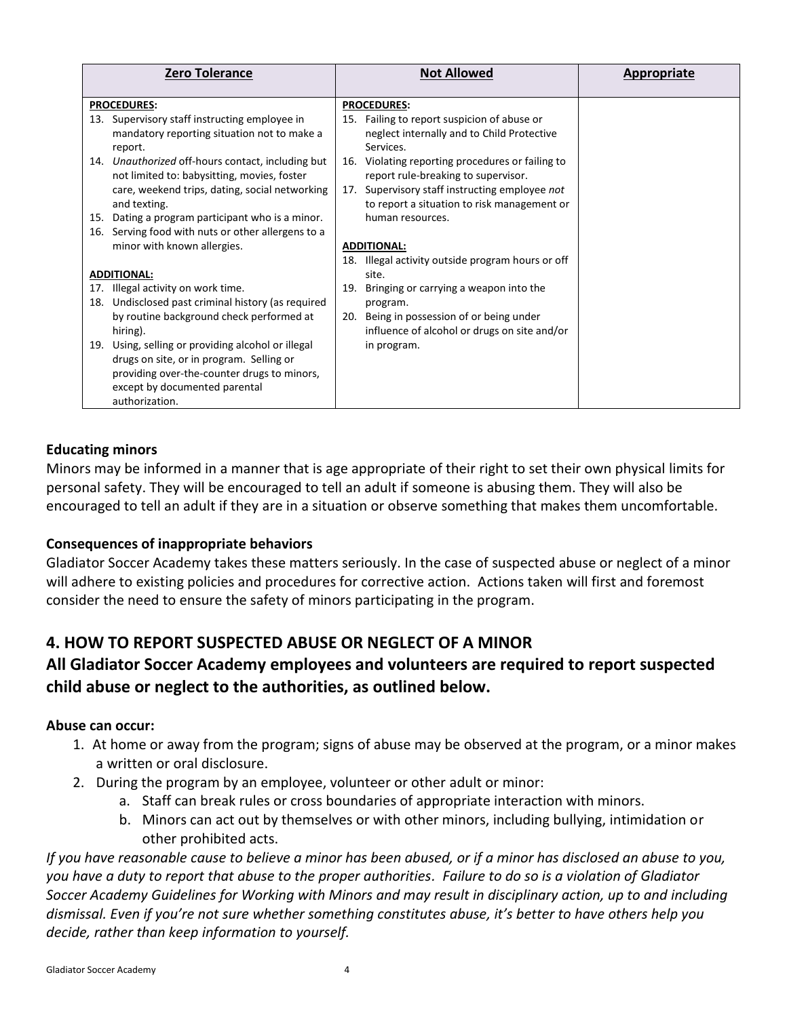|     | <b>Zero Tolerance</b>                                                                                                                                                                              |            | <b>Not Allowed</b>                                                                                                                                                                       | Appropriate |
|-----|----------------------------------------------------------------------------------------------------------------------------------------------------------------------------------------------------|------------|------------------------------------------------------------------------------------------------------------------------------------------------------------------------------------------|-------------|
|     | <b>PROCEDURES:</b>                                                                                                                                                                                 |            | <b>PROCEDURES:</b>                                                                                                                                                                       |             |
|     | 13. Supervisory staff instructing employee in<br>mandatory reporting situation not to make a<br>report.                                                                                            |            | 15. Failing to report suspicion of abuse or<br>neglect internally and to Child Protective<br>Services.                                                                                   |             |
|     | 14. Unauthorized off-hours contact, including but<br>not limited to: babysitting, movies, foster<br>care, weekend trips, dating, social networking<br>and texting.                                 |            | 16. Violating reporting procedures or failing to<br>report rule-breaking to supervisor.<br>17. Supervisory staff instructing employee not<br>to report a situation to risk management or |             |
| 15. | Dating a program participant who is a minor.                                                                                                                                                       |            | human resources.                                                                                                                                                                         |             |
| 16. | Serving food with nuts or other allergens to a<br>minor with known allergies.                                                                                                                      |            | <b>ADDITIONAL:</b><br>18. Illegal activity outside program hours or off                                                                                                                  |             |
|     | <b>ADDITIONAL:</b>                                                                                                                                                                                 |            | site.                                                                                                                                                                                    |             |
| 18. | 17. Illegal activity on work time.<br>Undisclosed past criminal history (as required<br>by routine background check performed at<br>hiring).<br>19. Using, selling or providing alcohol or illegal | 19.<br>20. | Bringing or carrying a weapon into the<br>program.<br>Being in possession of or being under<br>influence of alcohol or drugs on site and/or                                              |             |
|     | drugs on site, or in program. Selling or<br>providing over-the-counter drugs to minors,<br>except by documented parental<br>authorization.                                                         |            | in program.                                                                                                                                                                              |             |

#### **Educating minors**

Minors may be informed in a manner that is age appropriate of their right to set their own physical limits for personal safety. They will be encouraged to tell an adult if someone is abusing them. They will also be encouraged to tell an adult if they are in a situation or observe something that makes them uncomfortable.

#### **Consequences of inappropriate behaviors**

Gladiator Soccer Academy takes these matters seriously. In the case of suspected abuse or neglect of a minor will adhere to existing policies and procedures for corrective action. Actions taken will first and foremost consider the need to ensure the safety of minors participating in the program.

## **4. HOW TO REPORT SUSPECTED ABUSE OR NEGLECT OF A MINOR**

## **All Gladiator Soccer Academy employees and volunteers are required to report suspected child abuse or neglect to the authorities, as outlined below.**

#### **Abuse can occur:**

- 1. At home or away from the program; signs of abuse may be observed at the program, or a minor makes a written or oral disclosure.
- 2. During the program by an employee, volunteer or other adult or minor:
	- a. Staff can break rules or cross boundaries of appropriate interaction with minors.
	- b. Minors can act out by themselves or with other minors, including bullying, intimidation or other prohibited acts.

*If you have reasonable cause to believe a minor has been abused, or if a minor has disclosed an abuse to you, you have a duty to report that abuse to the proper authorities. Failure to do so is a violation of Gladiator Soccer Academy Guidelines for Working with Minors and may result in disciplinary action, up to and including dismissal. Even if you're not sure whether something constitutes abuse, it's better to have others help you decide, rather than keep information to yourself.*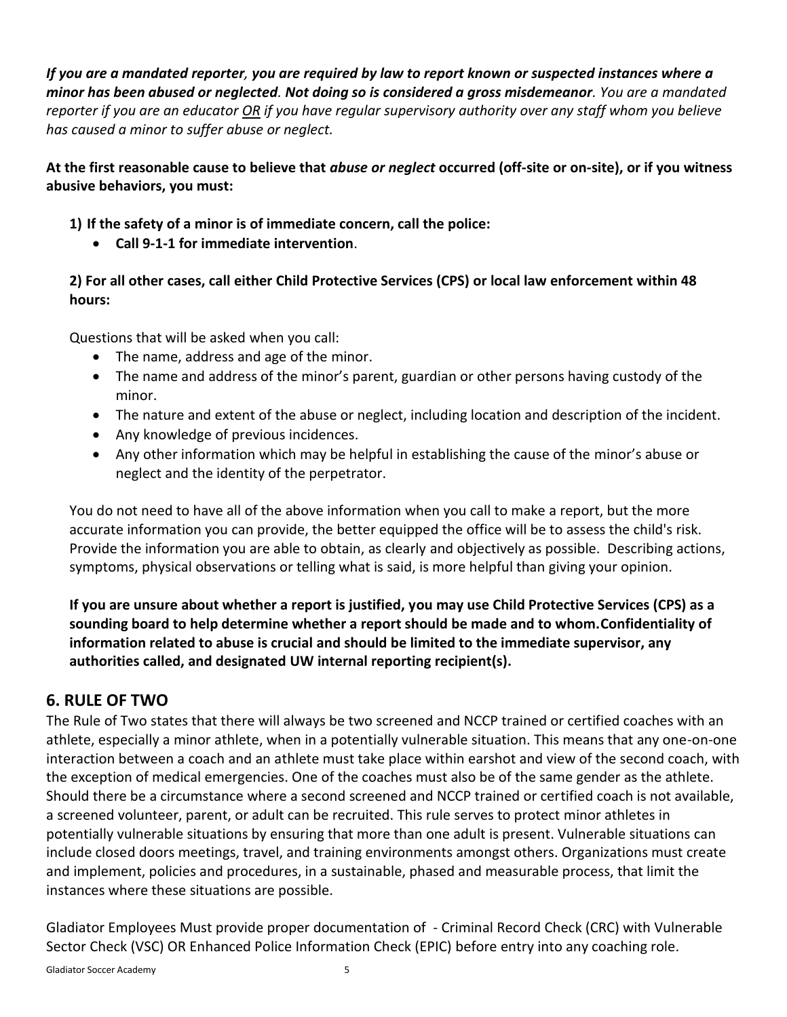*If you are a mandated reporter, you are required by law to report known or suspected instances where a minor has been abused or neglected. Not doing so is considered a gross misdemeanor. You are a mandated reporter if you are an educator OR if you have regular supervisory authority over any staff whom you believe has caused a minor to suffer abuse or neglect.*

**At the first reasonable cause to believe that** *abuse or neglect* **occurred (off-site or on-site), or if you witness abusive behaviors, you must:**

**1) If the safety of a minor is of immediate concern, call the police:** 

• **Call 9-1-1 for immediate intervention**.

**2) For all other cases, call either Child Protective Services (CPS) or local law enforcement within 48 hours:**

Questions that will be asked when you call:

- The name, address and age of the minor.
- The name and address of the minor's parent, guardian or other persons having custody of the minor.
- The nature and extent of the abuse or neglect, including location and description of the incident.
- Any knowledge of previous incidences.
- Any other information which may be helpful in establishing the cause of the minor's abuse or neglect and the identity of the perpetrator.

You do not need to have all of the above information when you call to make a report, but the more accurate information you can provide, the better equipped the office will be to assess the child's risk. Provide the information you are able to obtain, as clearly and objectively as possible. Describing actions, symptoms, physical observations or telling what is said, is more helpful than giving your opinion.

**If you are unsure about whether a report is justified, you may use Child Protective Services (CPS) as a sounding board to help determine whether a report should be made and to whom.Confidentiality of information related to abuse is crucial and should be limited to the immediate supervisor, any authorities called, and designated UW internal reporting recipient(s).**

# **6. RULE OF TWO**

The Rule of Two states that there will always be two screened and NCCP trained or certified coaches with an athlete, especially a minor athlete, when in a potentially vulnerable situation. This means that any one-on-one interaction between a coach and an athlete must take place within earshot and view of the second coach, with the exception of medical emergencies. One of the coaches must also be of the same gender as the athlete. Should there be a circumstance where a second screened and NCCP trained or certified coach is not available, a screened volunteer, parent, or adult can be recruited. This rule serves to protect minor athletes in potentially vulnerable situations by ensuring that more than one adult is present. Vulnerable situations can include closed doors meetings, travel, and training environments amongst others. Organizations must create and implement, policies and procedures, in a sustainable, phased and measurable process, that limit the instances where these situations are possible.

Gladiator Employees Must provide proper documentation of - Criminal Record Check (CRC) with Vulnerable Sector Check (VSC) OR Enhanced Police Information Check (EPIC) before entry into any coaching role.